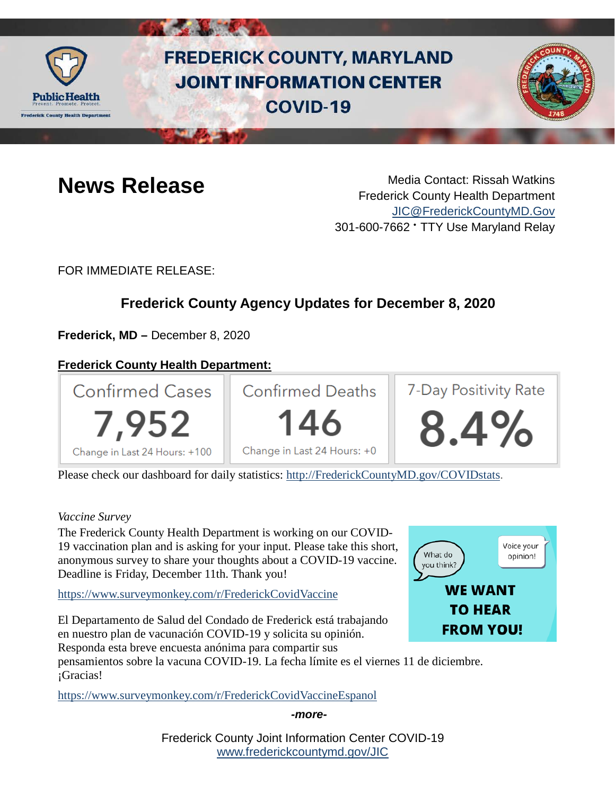

# **FREDERICK COUNTY, MARYLAND JOINT INFORMATION CENTER COVID-19**



**News Release** Media Contact: Rissah Watkins Frederick County Health Department [JIC@FrederickCountyMD.Gov](mailto:JIC@FrederickCountyMD.Gov) 301-600-7662 • TTY Use Maryland Relay

FOR IMMEDIATE RELEASE:

# **Frederick County Agency Updates for December 8, 2020**

**Frederick, MD –** December 8, 2020

# **Frederick County Health Department:**



Please check our dashboard for daily statistics: [http://FrederickCountyMD.gov/COVIDstats.](http://frederickcountymd.gov/COVIDstats)

#### *Vaccine Survey*

The Frederick County Health Department is working on our COVID-19 vaccination plan and is asking for your input. Please take this short, anonymous survey to share your thoughts about a COVID-19 vaccine. Deadline is Friday, December 11th. Thank you!

<https://www.surveymonkey.com/r/FrederickCovidVaccine>

El Departamento de Salud del Condado de Frederick está trabajando en nuestro plan de vacunación COVID-19 y solicita su opinión.

Responda esta breve encuesta anónima para compartir sus

pensamientos sobre la vacuna COVID-19. La fecha límite es el viernes 11 de diciembre. ¡Gracias!

<https://www.surveymonkey.com/r/FrederickCovidVaccineEspanol>

*-more-*

Frederick County Joint Information Center COVID-19 [www.frederickcountymd.gov/JIC](https://frederickcountymd.gov/JIC)